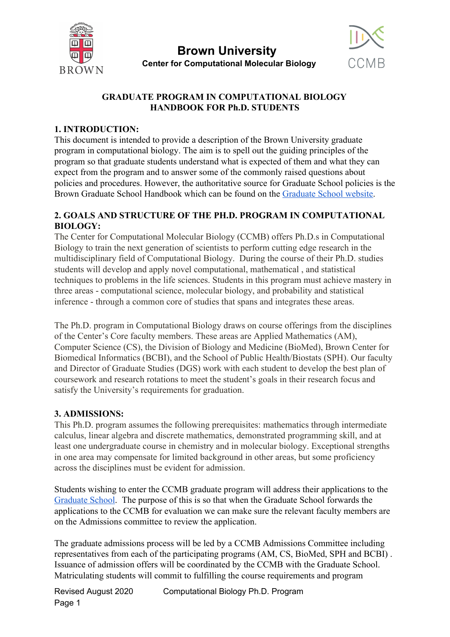



### **GRADUATE PROGRAM IN COMPUTATIONAL BIOLOGY HANDBOOK FOR Ph.D. STUDENTS**

#### **1. INTRODUCTION:**

This document is intended to provide a description of the Brown University graduate program in computational biology. The aim is to spell out the guiding principles of the program so that graduate students understand what is expected of them and what they can expect from the program and to answer some of the commonly raised questions about policies and procedures. However, the authoritative source for Graduate School policies is the Brown Graduate School Handbook which can be found on the [Graduate School website.](https://www.brown.edu/academics/gradschool/)

#### **2. GOALS AND STRUCTURE OF THE PH.D. PROGRAM IN COMPUTATIONAL BIOLOGY:**

The Center for Computational Molecular Biology (CCMB) offers Ph.D.s in Computational Biology to train the next generation of scientists to perform cutting edge research in the multidisciplinary field of Computational Biology. During the course of their Ph.D. studies students will develop and apply novel computational, mathematical , and statistical techniques to problems in the life sciences. Students in this program must achieve mastery in three areas - computational science, molecular biology, and probability and statistical inference - through a common core of studies that spans and integrates these areas.

The Ph.D. program in Computational Biology draws on course offerings from the disciplines of the Center's Core faculty members. These areas are Applied Mathematics (AM), Computer Science (CS), the Division of Biology and Medicine (BioMed), Brown Center for Biomedical Informatics (BCBI), and the School of Public Health/Biostats (SPH). Our faculty and Director of Graduate Studies (DGS) work with each student to develop the best plan of coursework and research rotations to meet the student's goals in their research focus and satisfy the University's requirements for graduation.

#### **3. ADMISSIONS:**

This Ph.D. program assumes the following prerequisites: mathematics through intermediate calculus, linear algebra and discrete mathematics, demonstrated programming skill, and at least one undergraduate course in chemistry and in molecular biology. Exceptional strengths in one area may compensate for limited background in other areas, but some proficiency across the disciplines must be evident for admission.

Students wishing to enter the CCMB graduate program will address their applications to the [Graduate School](http://gradschool.brown.edu/). The purpose of this is so that when the Graduate School forwards the applications to the CCMB for evaluation we can make sure the relevant faculty members are on the Admissions committee to review the application.

The graduate admissions process will be led by a CCMB Admissions Committee including representatives from each of the participating programs (AM, CS, BioMed, SPH and BCBI) . Issuance of admission offers will be coordinated by the CCMB with the Graduate School. Matriculating students will commit to fulfilling the course requirements and program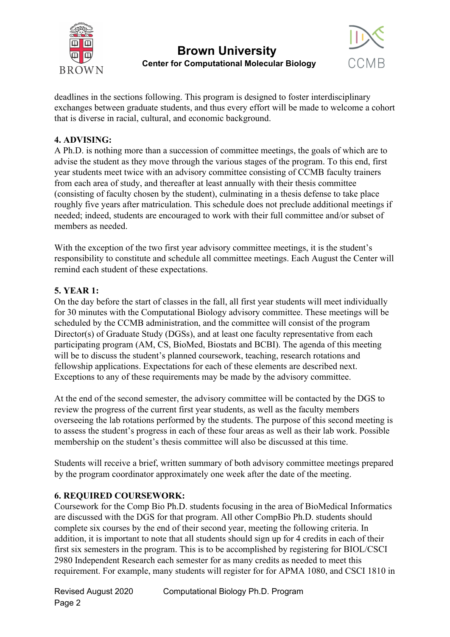



deadlines in the sections following. This program is designed to foster interdisciplinary exchanges between graduate students, and thus every effort will be made to welcome a cohort that is diverse in racial, cultural, and economic background.

#### **4. ADVISING:**

A Ph.D. is nothing more than a succession of committee meetings, the goals of which are to advise the student as they move through the various stages of the program. To this end, first year students meet twice with an advisory committee consisting of CCMB faculty trainers from each area of study, and thereafter at least annually with their thesis committee (consisting of faculty chosen by the student), culminating in a thesis defense to take place roughly five years after matriculation. This schedule does not preclude additional meetings if needed; indeed, students are encouraged to work with their full committee and/or subset of members as needed.

With the exception of the two first year advisory committee meetings, it is the student's responsibility to constitute and schedule all committee meetings. Each August the Center will remind each student of these expectations.

#### **5. YEAR 1:**

On the day before the start of classes in the fall, all first year students will meet individually for 30 minutes with the Computational Biology advisory committee. These meetings will be scheduled by the CCMB administration, and the committee will consist of the program Director(s) of Graduate Study (DGSs), and at least one faculty representative from each participating program (AM, CS, BioMed, Biostats and BCBI). The agenda of this meeting will be to discuss the student's planned coursework, teaching, research rotations and fellowship applications. Expectations for each of these elements are described next. Exceptions to any of these requirements may be made by the advisory committee.

At the end of the second semester, the advisory committee will be contacted by the DGS to review the progress of the current first year students, as well as the faculty members overseeing the lab rotations performed by the students. The purpose of this second meeting is to assess the student's progress in each of these four areas as well as their lab work. Possible membership on the student's thesis committee will also be discussed at this time.

Students will receive a brief, written summary of both advisory committee meetings prepared by the program coordinator approximately one week after the date of the meeting.

#### **6. REQUIRED COURSEWORK:**

Coursework for the Comp Bio Ph.D. students focusing in the area of BioMedical Informatics are discussed with the DGS for that program. All other CompBio Ph.D. students should complete six courses by the end of their second year, meeting the following criteria. In addition, it is important to note that all students should sign up for 4 credits in each of their first six semesters in the program. This is to be accomplished by registering for BIOL/CSCI 2980 Independent Research each semester for as many credits as needed to meet this requirement. For example, many students will register for for APMA 1080, and CSCI 1810 in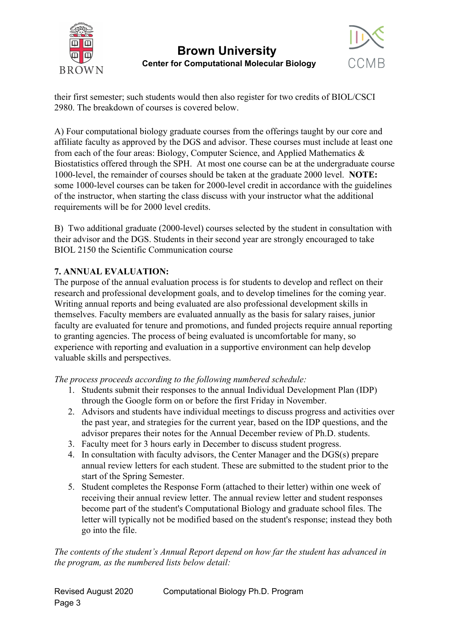



their first semester; such students would then also register for two credits of BIOL/CSCI 2980. The breakdown of courses is covered below.

A) Four computational biology graduate courses from the offerings taught by our core and affiliate faculty as approved by the DGS and advisor. These courses must include at least one from each of the four areas: Biology, Computer Science, and Applied Mathematics & Biostatistics offered through the SPH. At most one course can be at the undergraduate course 1000-level, the remainder of courses should be taken at the graduate 2000 level. **NOTE:** some 1000-level courses can be taken for 2000-level credit in accordance with the guidelines of the instructor, when starting the class discuss with your instructor what the additional requirements will be for 2000 level credits.

B) Two additional graduate (2000-level) courses selected by the student in consultation with their advisor and the DGS. Students in their second year are strongly encouraged to take BIOL 2150 the Scientific Communication course

### **7. ANNUAL EVALUATION:**

The purpose of the annual evaluation process is for students to develop and reflect on their research and professional development goals, and to develop timelines for the coming year. Writing annual reports and being evaluated are also professional development skills in themselves. Faculty members are evaluated annually as the basis for salary raises, junior faculty are evaluated for tenure and promotions, and funded projects require annual reporting to granting agencies. The process of being evaluated is uncomfortable for many, so experience with reporting and evaluation in a supportive environment can help develop valuable skills and perspectives.

*The process proceeds according to the following numbered schedule:*

- 1. Students submit their responses to the annual Individual Development Plan (IDP) through the Google form on or before the first Friday in November.
- 2. Advisors and students have individual meetings to discuss progress and activities over the past year, and strategies for the current year, based on the IDP questions, and the advisor prepares their notes for the Annual December review of Ph.D. students.
- 3. Faculty meet for 3 hours early in December to discuss student progress.
- 4. In consultation with faculty advisors, the Center Manager and the DGS(s) prepare annual review letters for each student. These are submitted to the student prior to the start of the Spring Semester.
- 5. Student completes the Response Form (attached to their letter) within one week of receiving their annual review letter. The annual review letter and student responses become part of the student's Computational Biology and graduate school files. The letter will typically not be modified based on the student's response; instead they both go into the file.

*The contents of the student's Annual Report depend on how far the student has advanced in the program, as the numbered lists below detail:*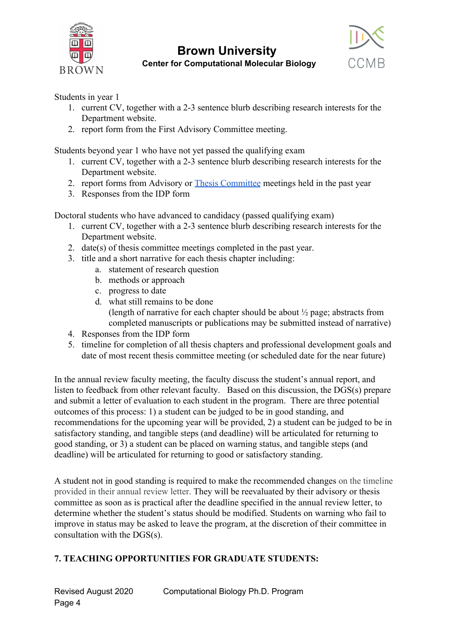



Students in year 1

- 1. current CV, together with a 2-3 sentence blurb describing research interests for the Department website.
- 2. report form from the First Advisory Committee meeting.

Students beyond year 1 who have not yet passed the qualifying exam

- 1. current CV, together with a 2-3 sentence blurb describing research interests for the Department website.
- 2. report forms from Advisory or [Thesis Committee](https://docs.google.com/forms/d/e/1FAIpQLSeedBPL9tTahoIzqSxWfZOAjlljxoisb1QiCX_P2uVa2IBp7w/viewform) meetings held in the past year
- 3. Responses from the IDP form

Doctoral students who have advanced to candidacy (passed qualifying exam)

- 1. current CV, together with a 2-3 sentence blurb describing research interests for the Department website.
- 2. date(s) of thesis committee meetings completed in the past year.
- 3. title and a short narrative for each thesis chapter including:
	- a. statement of research question
	- b. methods or approach
	- c. progress to date
	- d. what still remains to be done (length of narrative for each chapter should be about ½ page; abstracts from completed manuscripts or publications may be submitted instead of narrative)
- 4. Responses from the IDP form
- 5. timeline for completion of all thesis chapters and professional development goals and date of most recent thesis committee meeting (or scheduled date for the near future)

In the annual review faculty meeting, the faculty discuss the student's annual report, and listen to feedback from other relevant faculty. Based on this discussion, the DGS(s) prepare and submit a letter of evaluation to each student in the program. There are three potential outcomes of this process: 1) a student can be judged to be in good standing, and recommendations for the upcoming year will be provided, 2) a student can be judged to be in satisfactory standing, and tangible steps (and deadline) will be articulated for returning to good standing, or 3) a student can be placed on warning status, and tangible steps (and deadline) will be articulated for returning to good or satisfactory standing.

A student not in good standing is required to make the recommended changes on the timeline provided in their annual review letter. They will be reevaluated by their advisory or thesis committee as soon as is practical after the deadline specified in the annual review letter, to determine whether the student's status should be modified. Students on warning who fail to improve in status may be asked to leave the program, at the discretion of their committee in consultation with the DGS(s).

#### **7. TEACHING OPPORTUNITIES FOR GRADUATE STUDENTS:**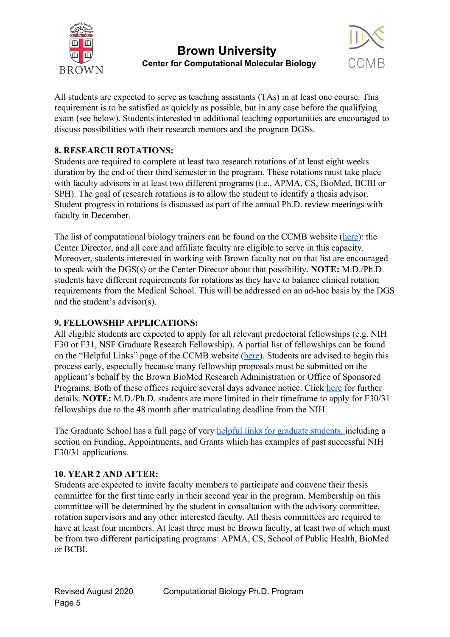



All students are expected to serve as teaching assistants (TAs) in at least one course. This requirement is to be satisfied as quickly as possible, but in any case before the qualifying exam (see below). Students interested in additional teaching opportunities are encouraged to discuss possibilities with their research mentors and the program DGSs.

#### **8. RESEARCH ROTATIONS:**

Students are required to complete at least two research rotations of at least eight weeks duration by the end of their third semester in the program. These rotations must take place with faculty advisors in at least two different programs (i.e., APMA, CS, BioMed, BCBI or SPH). The goal of research rotations is to allow the student to identify a thesis advisor. Student progress in rotations is discussed as part of the annual Ph.D. review meetings with faculty in December.

The list of computational biology trainers can be found on the CCMB website ([here](https://www.brown.edu/academics/computational-molecular-biology/about/people/faculty-and-staff)): the Center Director, and all core and affiliate faculty are eligible to serve in this capacity. Moreover, students interested in working with Brown faculty not on that list are encouraged to speak with the DGS(s) or the Center Director about that possibility. **NOTE:** M.D./Ph.D. students have different requirements for rotations as they have to balance clinical rotation requirements from the Medical School. This will be addressed on an ad-hoc basis by the DGS and the student's advisor(s).

#### **9. FELLOWSHIP APPLICATIONS:**

All eligible students are expected to apply for all relevant predoctoral fellowships (e.g. NIH) F30 or F31, NSF Graduate Research Fellowship). A partial list of fellowships can be found on the "Helpful Links" page of the CCMB website ([here\)](https://www.brown.edu/academics/computational-molecular-biology/graduate-study/helpful-links). Students are advised to begin this process early, especially because many fellowship proposals must be submitted on the applicant's behalf by the Brown BioMed Research Administration or Office of Sponsored Programs. Both of these offices require several days advance notice. Click [here](https://www.brown.edu/research/institutional-facts-reference-documents/proposal-submission-policy-guidelines) for further details. **NOTE:** M.D./Ph.D. students are more limited in their timeframe to apply for F30/31 fellowships due to the 48 month after matriculating deadline from the NIH.

The Graduate School has a full page of very [helpful links for graduate students,](https://www.brown.edu/academics/gradschool/gateway/for-graduate-students) including a section on Funding, Appointments, and Grants which has examples of past successful NIH F30/31 applications.

#### **10. YEAR 2 AND AFTER:**

Students are expected to invite faculty members to participate and convene their thesis committee for the first time early in their second year in the program. Membership on this committee will be determined by the student in consultation with the advisory committee, rotation supervisors and any other interested faculty. All thesis committees are required to have at least four members. At least three must be Brown faculty, at least two of which must be from two different participating programs: APMA, CS, School of Public Health, BioMed or BCBI.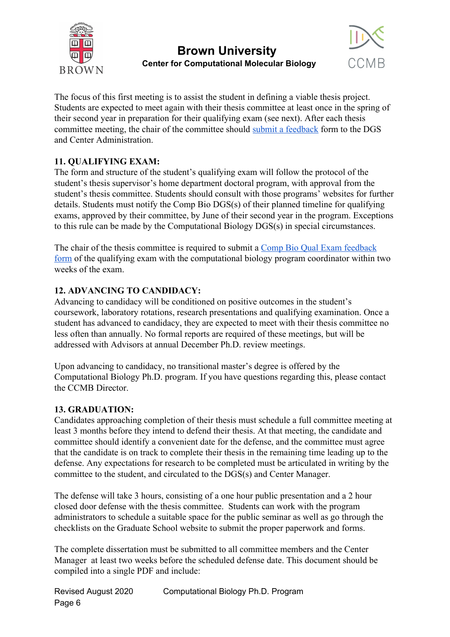



The focus of this first meeting is to assist the student in defining a viable thesis project. Students are expected to meet again with their thesis committee at least once in the spring of their second year in preparation for their qualifying exam (see next). After each thesis committee meeting, the chair of the committee should [submit a feedback](https://docs.google.com/forms/d/e/1FAIpQLSeedBPL9tTahoIzqSxWfZOAjlljxoisb1QiCX_P2uVa2IBp7w/viewform) form to the DGS and Center Administration.

### **11. QUALIFYING EXAM:**

The form and structure of the student's qualifying exam will follow the protocol of the student's thesis supervisor's home department doctoral program, with approval from the student's thesis committee. Students should consult with those programs' websites for further details. Students must notify the Comp Bio DGS(s) of their planned timeline for qualifying exams, approved by their committee, by June of their second year in the program. Exceptions to this rule can be made by the Computational Biology DGS(s) in special circumstances.

The chair of the thesis committee is required to submit a [Comp Bio Qual Exam feedback](https://docs.google.com/forms/d/e/1FAIpQLSclTqvZJ0Uk8QRw-fjcMqSCIAazMWRipbEgOcOr-T9k_isvAg/viewform) [form](https://docs.google.com/forms/d/e/1FAIpQLSclTqvZJ0Uk8QRw-fjcMqSCIAazMWRipbEgOcOr-T9k_isvAg/viewform) of the qualifying exam with the computational biology program coordinator within two weeks of the exam.

### **12. ADVANCING TO CANDIDACY:**

Advancing to candidacy will be conditioned on positive outcomes in the student's coursework, laboratory rotations, research presentations and qualifying examination. Once a student has advanced to candidacy, they are expected to meet with their thesis committee no less often than annually. No formal reports are required of these meetings, but will be addressed with Advisors at annual December Ph.D. review meetings.

Upon advancing to candidacy, no transitional master's degree is offered by the Computational Biology Ph.D. program. If you have questions regarding this, please contact the CCMB Director.

#### **13. GRADUATION:**

Candidates approaching completion of their thesis must schedule a full committee meeting at least 3 months before they intend to defend their thesis. At that meeting, the candidate and committee should identify a convenient date for the defense, and the committee must agree that the candidate is on track to complete their thesis in the remaining time leading up to the defense. Any expectations for research to be completed must be articulated in writing by the committee to the student, and circulated to the DGS(s) and Center Manager.

The defense will take 3 hours, consisting of a one hour public presentation and a 2 hour closed door defense with the thesis committee. Students can work with the program administrators to schedule a suitable space for the public seminar as well as go through the checklists on the Graduate School website to submit the proper paperwork and forms.

The complete dissertation must be submitted to all committee members and the Center Manager at least two weeks before the scheduled defense date. This document should be compiled into a single PDF and include: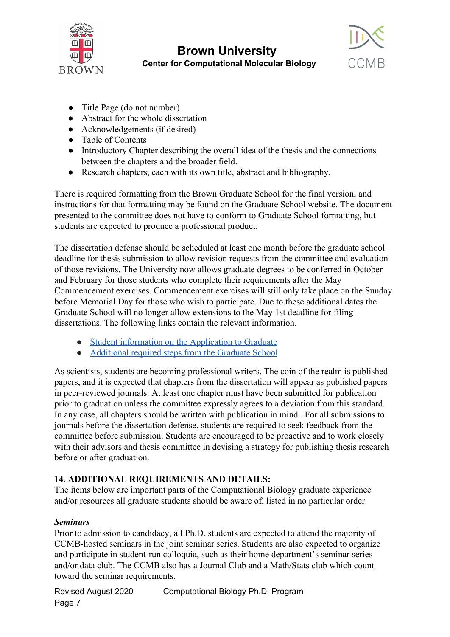



- Title Page (do not number)
- Abstract for the whole dissertation
- Acknowledgements (if desired)
- Table of Contents
- Introductory Chapter describing the overall idea of the thesis and the connections between the chapters and the broader field.
- Research chapters, each with its own title, abstract and bibliography.

There is required formatting from the Brown Graduate School for the final version, and instructions for that formatting may be found on the Graduate School website. The document presented to the committee does not have to conform to Graduate School formatting, but students are expected to produce a professional product.

The dissertation defense should be scheduled at least one month before the graduate school deadline for thesis submission to allow revision requests from the committee and evaluation of those revisions. The University now allows graduate degrees to be conferred in October and February for those students who complete their requirements after the May Commencement exercises. Commencement exercises will still only take place on the Sunday before Memorial Day for those who wish to participate. Due to these additional dates the Graduate School will no longer allow extensions to the May 1st deadline for filing dissertations. The following links contain the relevant information.

- [Student information on the Application to Graduate](https://www.brown.edu/about/administration/registrar/degree-guidelines-0/graduate-school#grdegr)
- [Additional required steps from the Graduate School](https://www.brown.edu/commencement/students/graduate-students)

As scientists, students are becoming professional writers. The coin of the realm is published papers, and it is expected that chapters from the dissertation will appear as published papers in peer-reviewed journals. At least one chapter must have been submitted for publication prior to graduation unless the committee expressly agrees to a deviation from this standard. In any case, all chapters should be written with publication in mind. For all submissions to journals before the dissertation defense, students are required to seek feedback from the committee before submission. Students are encouraged to be proactive and to work closely with their advisors and thesis committee in devising a strategy for publishing thesis research before or after graduation.

## **14. ADDITIONAL REQUIREMENTS AND DETAILS:**

The items below are important parts of the Computational Biology graduate experience and/or resources all graduate students should be aware of, listed in no particular order.

## *Seminars*

Prior to admission to candidacy, all Ph.D. students are expected to attend the majority of CCMB-hosted seminars in the joint seminar series. Students are also expected to organize and participate in student-run colloquia, such as their home department's seminar series and/or data club. The CCMB also has a Journal Club and a Math/Stats club which count toward the seminar requirements.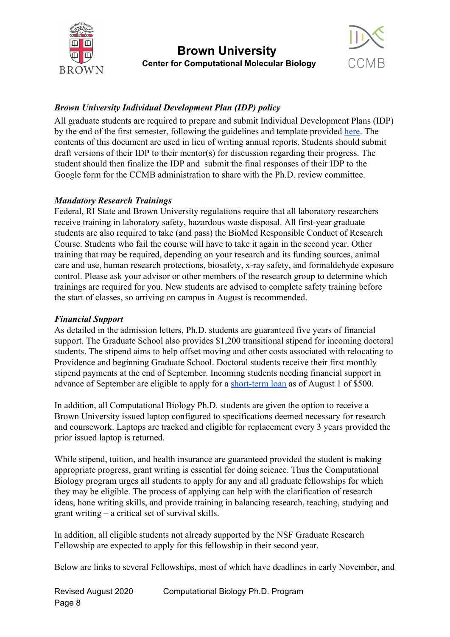



### *Brown University Individual Development Plan (IDP) policy*

All graduate students are required to prepare and submit Individual Development Plans (IDP) by the end of the first semester, following the guidelines and template provided [here.](http://www.brown.edu/about/administration/biomed/graduate-postdoctoral-studies/individual-development-plan) The contents of this document are used in lieu of writing annual reports. Students should submit draft versions of their IDP to their mentor(s) for discussion regarding their progress. The student should then finalize the IDP and submit the final responses of their IDP to the Google form for the CCMB administration to share with the Ph.D. review committee.

#### *Mandatory Research Trainings*

Federal, RI State and Brown University regulations require that all laboratory researchers receive training in laboratory safety, hazardous waste disposal. All first-year graduate students are also required to take (and pass) the BioMed Responsible Conduct of Research Course. Students who fail the course will have to take it again in the second year. Other training that may be required, depending on your research and its funding sources, animal care and use, human research protections, biosafety, x-ray safety, and formaldehyde exposure control. Please ask your advisor or other members of the research group to determine which trainings are required for you. New students are advised to complete safety training before the start of classes, so arriving on campus in August is recommended.

#### *Financial Support*

As detailed in the admission letters, Ph.D. students are guaranteed five years of financial support. The Graduate School also provides \$1,200 transitional stipend for incoming doctoral students. The stipend aims to help offset moving and other costs associated with relocating to Providence and beginning Graduate School. Doctoral students receive their first monthly stipend payments at the end of September. Incoming students needing financial support in advance of September are eligible to apply for a [short-term loan](https://www.brown.edu/academics/gradschool/financing-support/emergency-loan-programs) as of August 1 of \$500.

In addition, all Computational Biology Ph.D. students are given the option to receive a Brown University issued laptop configured to specifications deemed necessary for research and coursework. Laptops are tracked and eligible for replacement every 3 years provided the prior issued laptop is returned.

While stipend, tuition, and health insurance are guaranteed provided the student is making appropriate progress, grant writing is essential for doing science. Thus the Computational Biology program urges all students to apply for any and all graduate fellowships for which they may be eligible. The process of applying can help with the clarification of research ideas, hone writing skills, and provide training in balancing research, teaching, studying and grant writing – a critical set of survival skills.

In addition, all eligible students not already supported by the NSF Graduate Research Fellowship are expected to apply for this fellowship in their second year.

Below are links to several Fellowships, most of which have deadlines in early November, and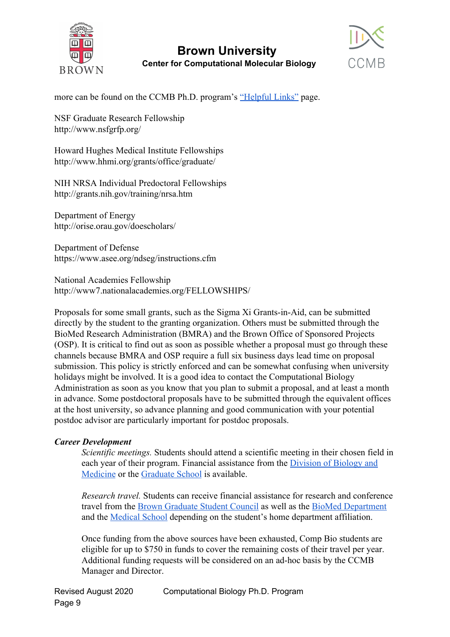



more can be found on the CCMB Ph.D. program's ["Helpful Links"](https://www.brown.edu/academics/computational-molecular-biology/graduate-study/helpful-links) page.

NSF Graduate Research Fellowship http://www.nsfgrfp.org/

Howard Hughes Medical Institute Fellowships http://www.hhmi.org/grants/office/graduate/

NIH NRSA Individual Predoctoral Fellowships http://grants.nih.gov/training/nrsa.htm

Department of Energy http://orise.orau.gov/doescholars/

Department of Defense https://www.asee.org/ndseg/instructions.cfm

National Academies Fellowship http://www7.nationalacademies.org/FELLOWSHIPS/

Proposals for some small grants, such as the Sigma Xi Grants-in-Aid, can be submitted directly by the student to the granting organization. Others must be submitted through the BioMed Research Administration (BMRA) and the Brown Office of Sponsored Projects (OSP). It is critical to find out as soon as possible whether a proposal must go through these channels because BMRA and OSP require a full six business days lead time on proposal submission. This policy is strictly enforced and can be somewhat confusing when university holidays might be involved. It is a good idea to contact the Computational Biology Administration as soon as you know that you plan to submit a proposal, and at least a month in advance. Some postdoctoral proposals have to be submitted through the equivalent offices at the host university, so advance planning and good communication with your potential postdoc advisor are particularly important for postdoc proposals.

#### *Career Development*

*Scientific meetings.* Students should attend a scientific meeting in their chosen field in each year of their program. Financial assistance from the **[Division of Biology and](https://www.brown.edu/about/administration/biomed/graduate-postdoctoral-studies/index.php?q=graduate-students/conference-travel-funding-policy)** [Medicine](https://www.brown.edu/about/administration/biomed/graduate-postdoctoral-studies/index.php?q=graduate-students/conference-travel-funding-policy) or the [Graduate School](https://www.brown.edu/academics/gradschool/financing-support/phd-funding/internal-funding-appointments/conference-travel/conference-travel-reim) is available.

*Research travel.* Students can receive financial assistance for research and conference travel from the [Brown Graduate Student Council](http://students.brown.edu/gsc/resources/funding/conference-funding/) as well as the [BioMed Department](https://www.brown.edu/about/administration/biomed/graduate-postdoctoral-studies/graduate-students/conference-travel-funding-policy) and the [Medical School](https://www.brown.edu/academics/medical/education-programs/student-enrich-opps/fundings) depending on the student's home department affiliation.

Once funding from the above sources have been exhausted, Comp Bio students are eligible for up to \$750 in funds to cover the remaining costs of their travel per year. Additional funding requests will be considered on an ad-hoc basis by the CCMB Manager and Director.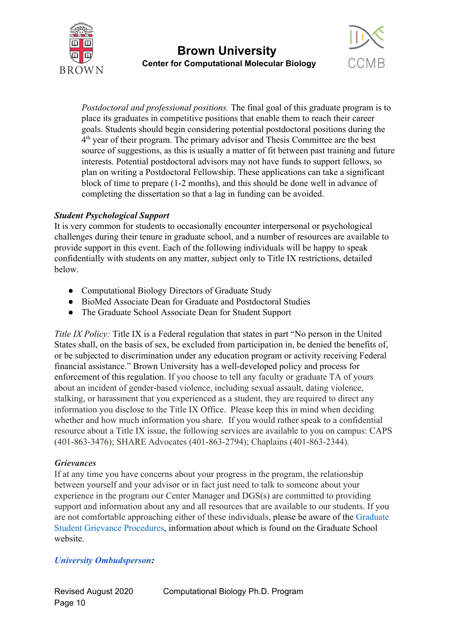



*Postdoctoral and professional positions.* The final goal of this graduate program is to place its graduates in competitive positions that enable them to reach their career goals. Students should begin considering potential postdoctoral positions during the 4<sup>th</sup> year of their program. The primary advisor and Thesis Committee are the best source of suggestions, as this is usually a matter of fit between past training and future interests. Potential postdoctoral advisors may not have funds to support fellows, so plan on writing a Postdoctoral Fellowship. These applications can take a significant block of time to prepare (1-2 months), and this should be done well in advance of completing the dissertation so that a lag in funding can be avoided.

#### *Student Psychological Support*

It is very common for students to occasionally encounter interpersonal or psychological challenges during their tenure in graduate school, and a number of resources are available to provide support in this event. Each of the following individuals will be happy to speak confidentially with students on any matter, subject only to Title IX restrictions, detailed below.

- Computational Biology Directors of Graduate Study
- BioMed Associate Dean for Graduate and Postdoctoral Studies
- The Graduate School Associate Dean for Student Support

*Title IX Policy:* Title IX is a Federal regulation that states in part "No person in the United States shall, on the basis of sex, be excluded from participation in, be denied the benefits of, or be subjected to discrimination under any education program or activity receiving Federal financial assistance." Brown University has a well-developed policy and process for enforcement of this regulation. If you choose to tell any faculty or graduate TA of yours about an incident of gender-based violence, including sexual assault, dating violence, stalking, or harassment that you experienced as a student, they are required to direct any information you disclose to the Title IX Office. Please keep this in mind when deciding whether and how much information you share. If you would rather speak to a confidential resource about a Title IX issue, the following services are available to you on campus: CAPS (401-863-3476); SHARE Advocates (401-863-2794); Chaplains (401-863-2344).

#### *Grievances*

If at any time you have concerns about your progress in the program, the relationship between yourself and your advisor or in fact just need to talk to someone about your experience in the program our Center Manager and DGS(s) are committed to providing support and information about any and all resources that are available to our students. If you are not comfortable approaching either of these individuals, please be aware of the Graduate Student Grievance Procedures, information about which is found on the Graduate School website.

#### *[University Ombudsperson](https://www.brown.edu/about/administration/ombudsperson/):*